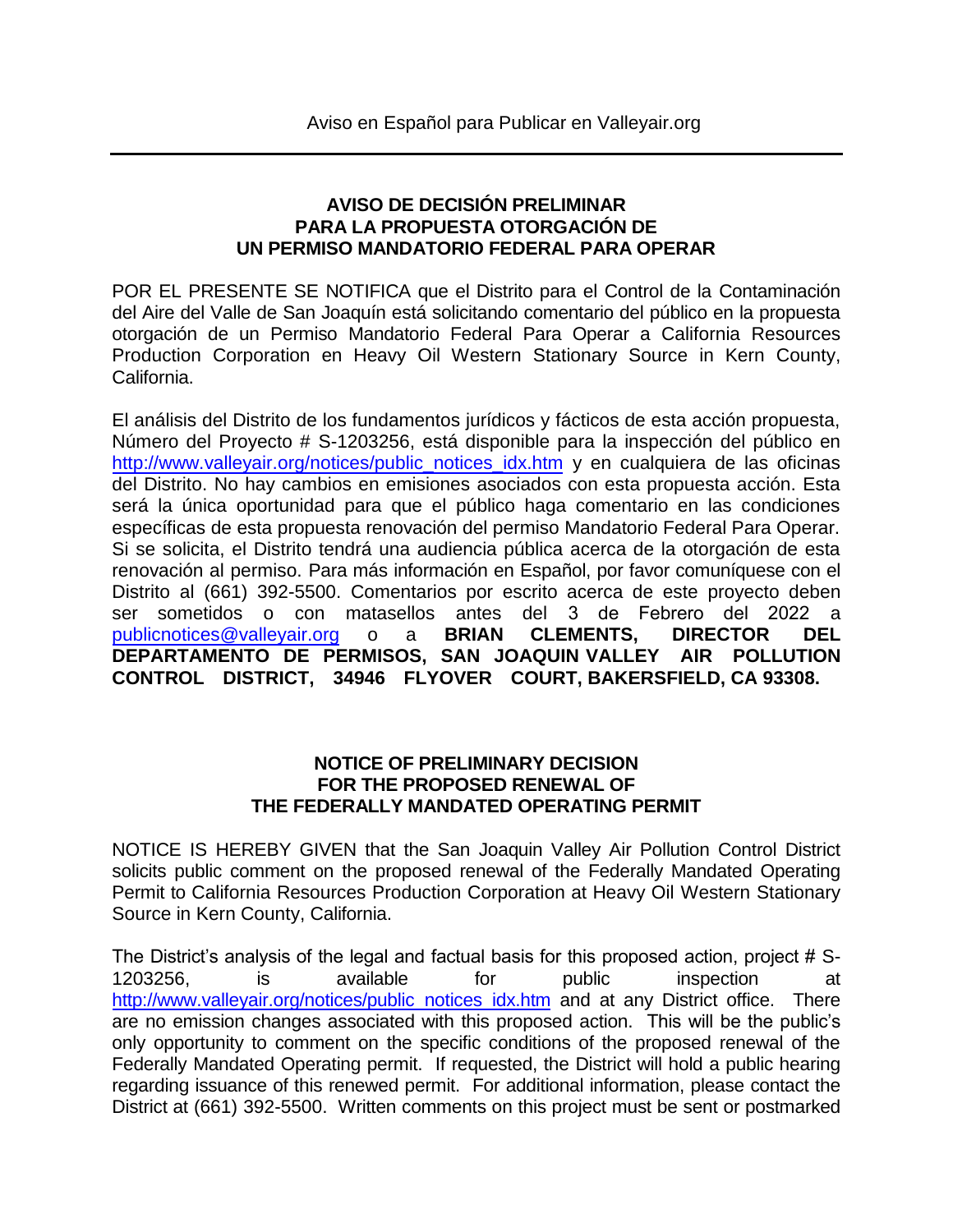## **AVISO DE DECISIÓN PRELIMINAR PARA LA PROPUESTA OTORGACIÓN DE UN PERMISO MANDATORIO FEDERAL PARA OPERAR**

POR EL PRESENTE SE NOTIFICA que el Distrito para el Control de la Contaminación del Aire del Valle de San Joaquín está solicitando comentario del público en la propuesta otorgación de un Permiso Mandatorio Federal Para Operar a California Resources Production Corporation en Heavy Oil Western Stationary Source in Kern County, California.

El análisis del Distrito de los fundamentos jurídicos y fácticos de esta acción propuesta, Número del Proyecto # S-1203256, está disponible para la inspección del público en [http://www.valleyair.org/notices/public\\_notices\\_idx.htm](http://www.valleyair.org/notices/public_notices_idx.htm) y en cualquiera de las oficinas del Distrito. No hay cambios en emisiones asociados con esta propuesta acción. Esta será la única oportunidad para que el público haga comentario en las condiciones específicas de esta propuesta renovación del permiso Mandatorio Federal Para Operar. Si se solicita, el Distrito tendrá una audiencia pública acerca de la otorgación de esta renovación al permiso. Para más información en Español, por favor comuníquese con el Distrito al (661) 392-5500. Comentarios por escrito acerca de este proyecto deben ser sometidos o con matasellos antes del [3 de Febrero del](mailto:publicnotices@valleyair.org) 2022 a publicnotices@valleyair.org o a **BRIAN CLEMENTS, DIRECTOR DEL DEPARTAMENTO DE PERMISOS, SAN JOAQUIN VALLEY AIR POLLUTION CONTROL DISTRICT, 34946 FLYOVER COURT, BAKERSFIELD, CA 93308.** 

## **NOTICE OF PRELIMINARY DECISION FOR THE PROPOSED RENEWAL OF THE FEDERALLY MANDATED OPERATING PERMIT**

NOTICE IS HEREBY GIVEN that the San Joaquin Valley Air Pollution Control District solicits public comment on the proposed renewal of the Federally Mandated Operating Permit to California Resources Production Corporation at Heavy Oil Western Stationary Source in Kern County, California.

The District's analysis of the legal and factual basis for this proposed action, project # S-1203256, is available for public inspection at [http://www.valleyair.org/notices/public\\_notices\\_idx.htm](http://www.valleyair.org/notices/public_notices_idx.htm) and at any District office. There are no emission changes associated with this proposed action. This will be the public's only opportunity to comment on the specific conditions of the proposed renewal of the Federally Mandated Operating permit. If requested, the District will hold a public hearing regarding issuance of this renewed permit. For additional information, please contact the District at (661) 392-5500. Written comments on this project must be sent or postmarked